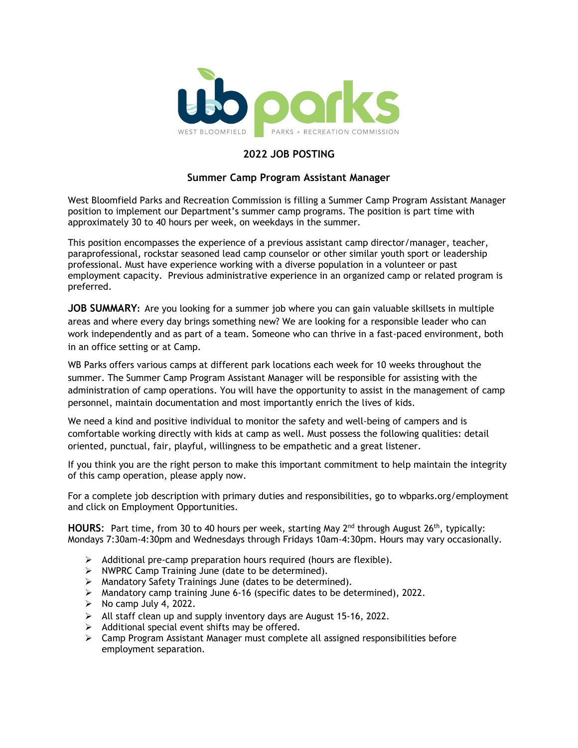

### **2022 JOB POSTING**

#### **Summer Camp Program Assistant Manager**

West Bloomfield Parks and Recreation Commission is filling a Summer Camp Program Assistant Manager position to implement our Department's summer camp programs. The position is part time with approximately 30 to 40 hours per week, on weekdays in the summer.

This position encompasses the experience of a previous assistant camp director/manager, teacher, paraprofessional, rockstar seasoned lead camp counselor or other similar youth sport or leadership professional. Must have experience working with a diverse population in a volunteer or past employment capacity. Previous administrative experience in an organized camp or related program is preferred.

**JOB SUMMARY:** Are you looking for a summer job where you can gain valuable skillsets in multiple areas and where every day brings something new? We are looking for a responsible leader who can work independently and as part of a team. Someone who can thrive in a fast-paced environment, both in an office setting or at Camp.

WB Parks offers various camps at different park locations each week for 10 weeks throughout the summer. The Summer Camp Program Assistant Manager will be responsible for assisting with the administration of camp operations. You will have the opportunity to assist in the management of camp personnel, maintain documentation and most importantly enrich the lives of kids.

We need a kind and positive individual to monitor the safety and well-being of campers and is comfortable working directly with kids at camp as well. Must possess the following qualities: detail oriented, punctual, fair, playful, willingness to be empathetic and a great listener.

If you think you are the right person to make this important commitment to help maintain the integrity of this camp operation, please apply now.

For a complete job description with primary duties and responsibilities, go to [wbparks.org/employment](file://10.0.4.221/common_data/Human%20Resources/Job%20Descriptions%20and%20Job%20Postings/2017/wbparks.org/employment) and click on Employment Opportunities.

**HOURS:** Part time, from 30 to 40 hours per week, starting May 2<sup>nd</sup> through August 26<sup>th</sup>, typically: Mondays 7:30am-4:30pm and Wednesdays through Fridays 10am-4:30pm. Hours may vary occasionally.

- $\triangleright$  Additional pre-camp preparation hours required (hours are flexible).
- $\triangleright$  NWPRC Camp Training June (date to be determined).
- Mandatory Safety Trainings June (dates to be determined).
- $\triangleright$  Mandatory camp training June 6-16 (specific dates to be determined), 2022.
- $\triangleright$  No camp July 4, 2022.
- $\triangleright$  All staff clean up and supply inventory days are August 15-16, 2022.
- $\triangleright$  Additional special event shifts may be offered.
- $\triangleright$  Camp Program Assistant Manager must complete all assigned responsibilities before employment separation.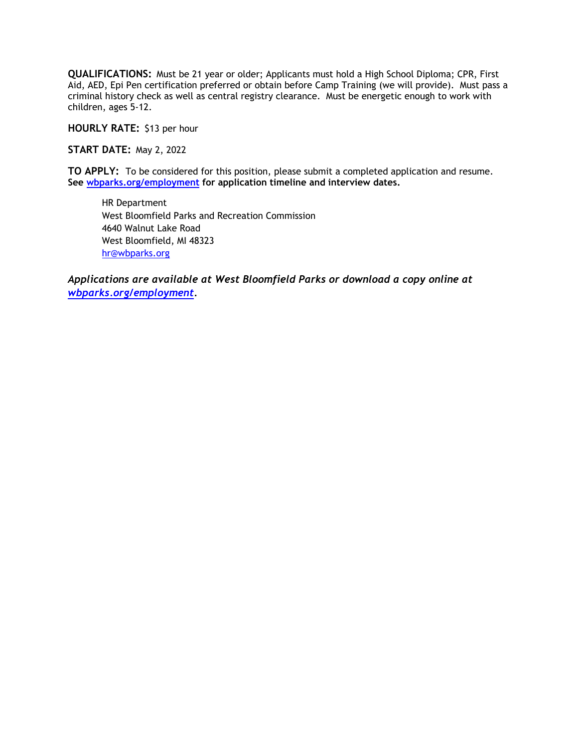**QUALIFICATIONS:** Must be 21 year or older; Applicants must hold a High School Diploma; CPR, First Aid, AED, Epi Pen certification preferred or obtain before Camp Training (we will provide). Must pass a criminal history check as well as central registry clearance. Must be energetic enough to work with children, ages 5-12.

**HOURLY RATE:** \$13 per hour

**START DATE:** May 2, 2022

**TO APPLY:** To be considered for this position, please submit a completed application and resume. **See [wbparks.org/employment](file://10.0.4.221/common_data/Human%20Resources/Job%20Descriptions%20and%20Job%20Postings/Job%20Postings-2019/wbparks.org/employment) for application timeline and interview dates.**

HR Department West Bloomfield Parks and Recreation Commission 4640 Walnut Lake Road West Bloomfield, MI 48323 [hr@wbparks.org](mailto:hr@wbparks.org)

*Applications are available at West Bloomfield Parks or download a copy online at [wbparks.org/employment.](file://10.0.4.221/common_data/Human%20Resources/Job%20Descriptions%20and%20Job%20Postings/2017/wbparks.org/employment)*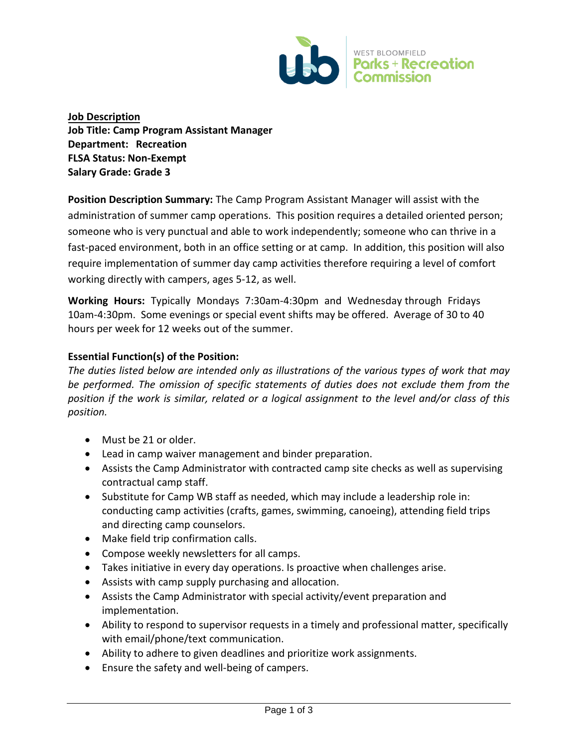

**Job Description Job Title: Camp Program Assistant Manager Department: Recreation FLSA Status: Non-Exempt Salary Grade: Grade 3** 

**Position Description Summary:** The Camp Program Assistant Manager will assist with the administration of summer camp operations. This position requires a detailed oriented person; someone who is very punctual and able to work independently; someone who can thrive in a fast-paced environment, both in an office setting or at camp. In addition, this position will also require implementation of summer day camp activities therefore requiring a level of comfort working directly with campers, ages 5-12, as well.

**Working Hours:** Typically Mondays 7:30am-4:30pm and Wednesday through Fridays 10am-4:30pm. Some evenings or special event shifts may be offered. Average of 30 to 40 hours per week for 12 weeks out of the summer.

## **Essential Function(s) of the Position:**

*The duties listed below are intended only as illustrations of the various types of work that may be performed. The omission of specific statements of duties does not exclude them from the position if the work is similar, related or a logical assignment to the level and/or class of this position.*

- Must be 21 or older.
- Lead in camp waiver management and binder preparation.
- Assists the Camp Administrator with contracted camp site checks as well as supervising contractual camp staff.
- Substitute for Camp WB staff as needed, which may include a leadership role in: conducting camp activities (crafts, games, swimming, canoeing), attending field trips and directing camp counselors.
- Make field trip confirmation calls.
- Compose weekly newsletters for all camps.
- Takes initiative in every day operations. Is proactive when challenges arise.
- Assists with camp supply purchasing and allocation.
- Assists the Camp Administrator with special activity/event preparation and implementation.
- Ability to respond to supervisor requests in a timely and professional matter, specifically with email/phone/text communication.
- Ability to adhere to given deadlines and prioritize work assignments.
- Ensure the safety and well-being of campers.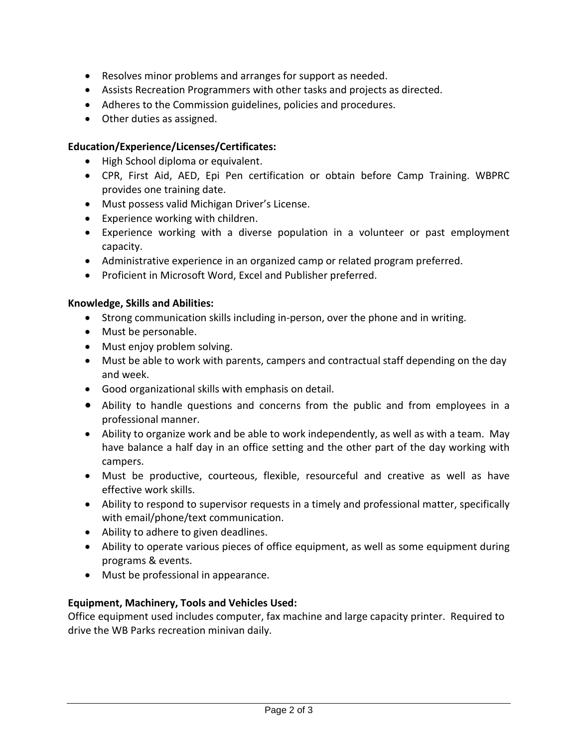- Resolves minor problems and arranges for support as needed.
- Assists Recreation Programmers with other tasks and projects as directed.
- Adheres to the Commission guidelines, policies and procedures.
- Other duties as assigned.

# **Education/Experience/Licenses/Certificates:**

- High School diploma or equivalent.
- CPR, First Aid, AED, Epi Pen certification or obtain before Camp Training. WBPRC provides one training date.
- Must possess valid Michigan Driver's License.
- Experience working with children.
- Experience working with a diverse population in a volunteer or past employment capacity.
- Administrative experience in an organized camp or related program preferred.
- Proficient in Microsoft Word, Excel and Publisher preferred.

## **Knowledge, Skills and Abilities:**

- Strong communication skills including in-person, over the phone and in writing.
- Must be personable.
- Must enjoy problem solving.
- Must be able to work with parents, campers and contractual staff depending on the day and week.
- Good organizational skills with emphasis on detail.
- Ability to handle questions and concerns from the public and from employees in a professional manner.
- Ability to organize work and be able to work independently, as well as with a team. May have balance a half day in an office setting and the other part of the day working with campers.
- Must be productive, courteous, flexible, resourceful and creative as well as have effective work skills.
- Ability to respond to supervisor requests in a timely and professional matter, specifically with email/phone/text communication.
- Ability to adhere to given deadlines.
- Ability to operate various pieces of office equipment, as well as some equipment during programs & events.
- Must be professional in appearance.

# **Equipment, Machinery, Tools and Vehicles Used:**

Office equipment used includes computer, fax machine and large capacity printer. Required to drive the WB Parks recreation minivan daily.